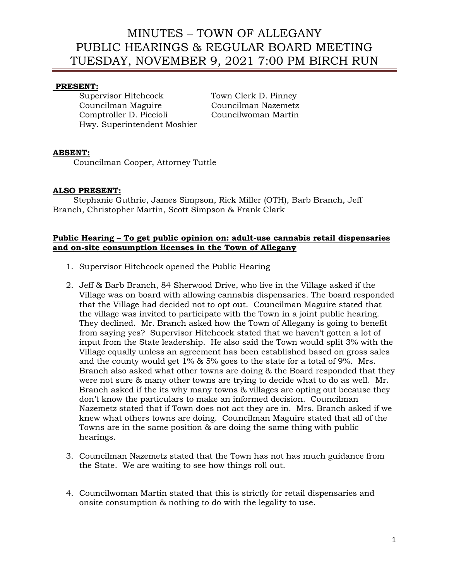## **PRESENT:**

Supervisor Hitchcock Town Clerk D. Pinney Councilman Maguire Councilman Nazemetz Comptroller D. Piccioli Councilwoman Martin Hwy. Superintendent Moshier

## **ABSENT:**

Councilman Cooper, Attorney Tuttle

## **ALSO PRESENT:**

 Stephanie Guthrie, James Simpson, Rick Miller (OTH), Barb Branch, Jeff Branch, Christopher Martin, Scott Simpson & Frank Clark

### **Public Hearing – To get public opinion on: adult-use cannabis retail dispensaries and on-site consumption licenses in the Town of Allegany**

- 1. Supervisor Hitchcock opened the Public Hearing
- 2. Jeff & Barb Branch, 84 Sherwood Drive, who live in the Village asked if the Village was on board with allowing cannabis dispensaries. The board responded that the Village had decided not to opt out. Councilman Maguire stated that the village was invited to participate with the Town in a joint public hearing. They declined. Mr. Branch asked how the Town of Allegany is going to benefit from saying yes? Supervisor Hitchcock stated that we haven't gotten a lot of input from the State leadership. He also said the Town would split 3% with the Village equally unless an agreement has been established based on gross sales and the county would get 1% & 5% goes to the state for a total of 9%. Mrs. Branch also asked what other towns are doing & the Board responded that they were not sure & many other towns are trying to decide what to do as well. Mr. Branch asked if the its why many towns & villages are opting out because they don't know the particulars to make an informed decision. Councilman Nazemetz stated that if Town does not act they are in. Mrs. Branch asked if we knew what others towns are doing. Councilman Maguire stated that all of the Towns are in the same position & are doing the same thing with public hearings.
- 3. Councilman Nazemetz stated that the Town has not has much guidance from the State. We are waiting to see how things roll out.
- 4. Councilwoman Martin stated that this is strictly for retail dispensaries and onsite consumption & nothing to do with the legality to use.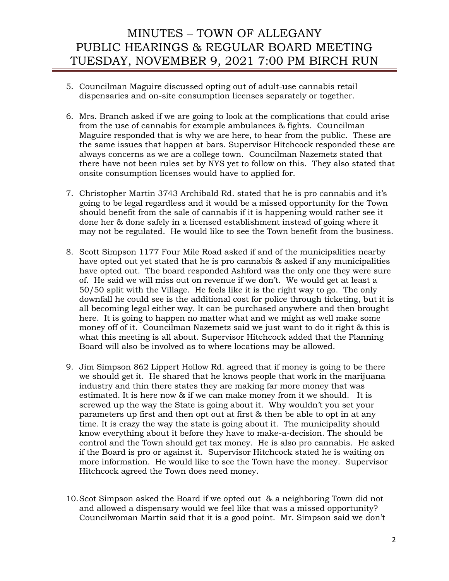- 5. Councilman Maguire discussed opting out of adult-use cannabis retail dispensaries and on-site consumption licenses separately or together.
- 6. Mrs. Branch asked if we are going to look at the complications that could arise from the use of cannabis for example ambulances & fights. Councilman Maguire responded that is why we are here, to hear from the public. These are the same issues that happen at bars. Supervisor Hitchcock responded these are always concerns as we are a college town. Councilman Nazemetz stated that there have not been rules set by NYS yet to follow on this. They also stated that onsite consumption licenses would have to applied for.
- 7. Christopher Martin 3743 Archibald Rd. stated that he is pro cannabis and it's going to be legal regardless and it would be a missed opportunity for the Town should benefit from the sale of cannabis if it is happening would rather see it done her & done safely in a licensed establishment instead of going where it may not be regulated. He would like to see the Town benefit from the business.
- 8. Scott Simpson 1177 Four Mile Road asked if and of the municipalities nearby have opted out yet stated that he is pro cannabis & asked if any municipalities have opted out. The board responded Ashford was the only one they were sure of. He said we will miss out on revenue if we don't. We would get at least a 50/50 split with the Village. He feels like it is the right way to go. The only downfall he could see is the additional cost for police through ticketing, but it is all becoming legal either way. It can be purchased anywhere and then brought here. It is going to happen no matter what and we might as well make some money off of it. Councilman Nazemetz said we just want to do it right & this is what this meeting is all about. Supervisor Hitchcock added that the Planning Board will also be involved as to where locations may be allowed.
- 9. Jim Simpson 862 Lippert Hollow Rd. agreed that if money is going to be there we should get it. He shared that he knows people that work in the marijuana industry and thin there states they are making far more money that was estimated. It is here now & if we can make money from it we should. It is screwed up the way the State is going about it. Why wouldn't you set your parameters up first and then opt out at first & then be able to opt in at any time. It is crazy the way the state is going about it. The municipality should know everything about it before they have to make-a-decision. The should be control and the Town should get tax money. He is also pro cannabis. He asked if the Board is pro or against it. Supervisor Hitchcock stated he is waiting on more information. He would like to see the Town have the money. Supervisor Hitchcock agreed the Town does need money.
- 10.Scot Simpson asked the Board if we opted out & a neighboring Town did not and allowed a dispensary would we feel like that was a missed opportunity? Councilwoman Martin said that it is a good point. Mr. Simpson said we don't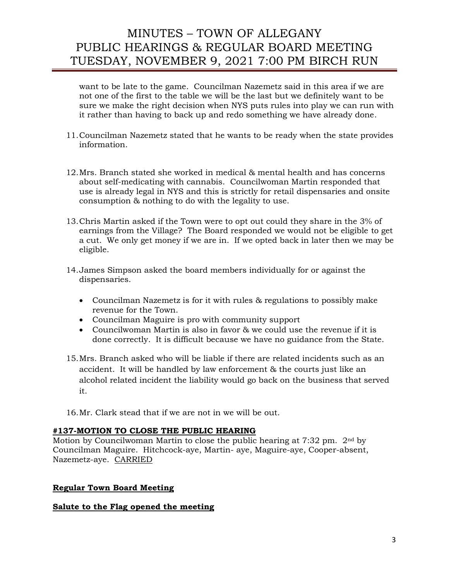want to be late to the game. Councilman Nazemetz said in this area if we are not one of the first to the table we will be the last but we definitely want to be sure we make the right decision when NYS puts rules into play we can run with it rather than having to back up and redo something we have already done.

- 11.Councilman Nazemetz stated that he wants to be ready when the state provides information.
- 12.Mrs. Branch stated she worked in medical & mental health and has concerns about self-medicating with cannabis. Councilwoman Martin responded that use is already legal in NYS and this is strictly for retail dispensaries and onsite consumption & nothing to do with the legality to use.
- 13.Chris Martin asked if the Town were to opt out could they share in the 3% of earnings from the Village? The Board responded we would not be eligible to get a cut. We only get money if we are in. If we opted back in later then we may be eligible.
- 14.James Simpson asked the board members individually for or against the dispensaries.
	- Councilman Nazemetz is for it with rules & regulations to possibly make revenue for the Town.
	- Councilman Maguire is pro with community support
	- Councilwoman Martin is also in favor & we could use the revenue if it is done correctly. It is difficult because we have no guidance from the State.
- 15.Mrs. Branch asked who will be liable if there are related incidents such as an accident. It will be handled by law enforcement & the courts just like an alcohol related incident the liability would go back on the business that served it.
- 16.Mr. Clark stead that if we are not in we will be out.

#### **#137-MOTION TO CLOSE THE PUBLIC HEARING**

Motion by Councilwoman Martin to close the public hearing at 7:32 pm. 2nd by Councilman Maguire. Hitchcock-aye, Martin- aye, Maguire-aye, Cooper-absent, Nazemetz-aye. CARRIED

## **Regular Town Board Meeting**

## **Salute to the Flag opened the meeting**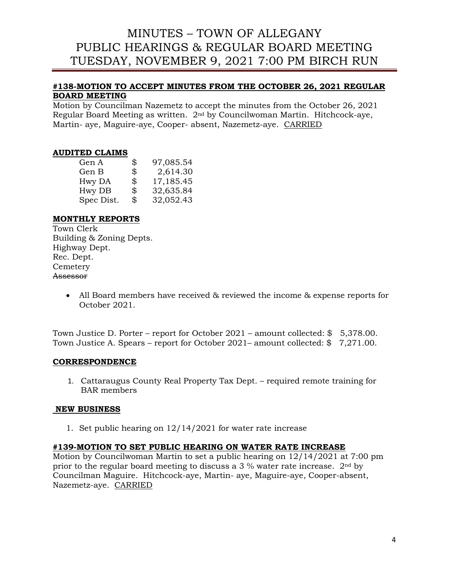## **#138-MOTION TO ACCEPT MINUTES FROM THE OCTOBER 26, 2021 REGULAR BOARD MEETING**

Motion by Councilman Nazemetz to accept the minutes from the October 26, 2021 Regular Board Meeting as written. 2nd by Councilwoman Martin. Hitchcock-aye, Martin- aye, Maguire-aye, Cooper- absent, Nazemetz-aye. CARRIED

## **AUDITED CLAIMS**

| Gen A      | \$<br>97,085.54 |
|------------|-----------------|
| Gen B      | \$<br>2,614.30  |
| Hwy DA     | \$<br>17,185.45 |
| Hwy DB     | \$<br>32,635.84 |
| Spec Dist. | \$<br>32,052.43 |

## **MONTHLY REPORTS**

Town Clerk Building & Zoning Depts. Highway Dept. Rec. Dept. Cemetery Assessor

> • All Board members have received & reviewed the income & expense reports for October 2021.

Town Justice D. Porter – report for October 2021 – amount collected: \$ 5,378.00. Town Justice A. Spears – report for October 2021– amount collected: \$ 7,271.00.

## **CORRESPONDENCE**

1. Cattaraugus County Real Property Tax Dept. – required remote training for BAR members

## **NEW BUSINESS**

1. Set public hearing on 12/14/2021 for water rate increase

## **#139-MOTION TO SET PUBLIC HEARING ON WATER RATE INCREASE**

Motion by Councilwoman Martin to set a public hearing on 12/14/2021 at 7:00 pm prior to the regular board meeting to discuss a  $3\%$  water rate increase.  $2<sup>nd</sup>$  by Councilman Maguire. Hitchcock-aye, Martin- aye, Maguire-aye, Cooper-absent, Nazemetz-aye. CARRIED